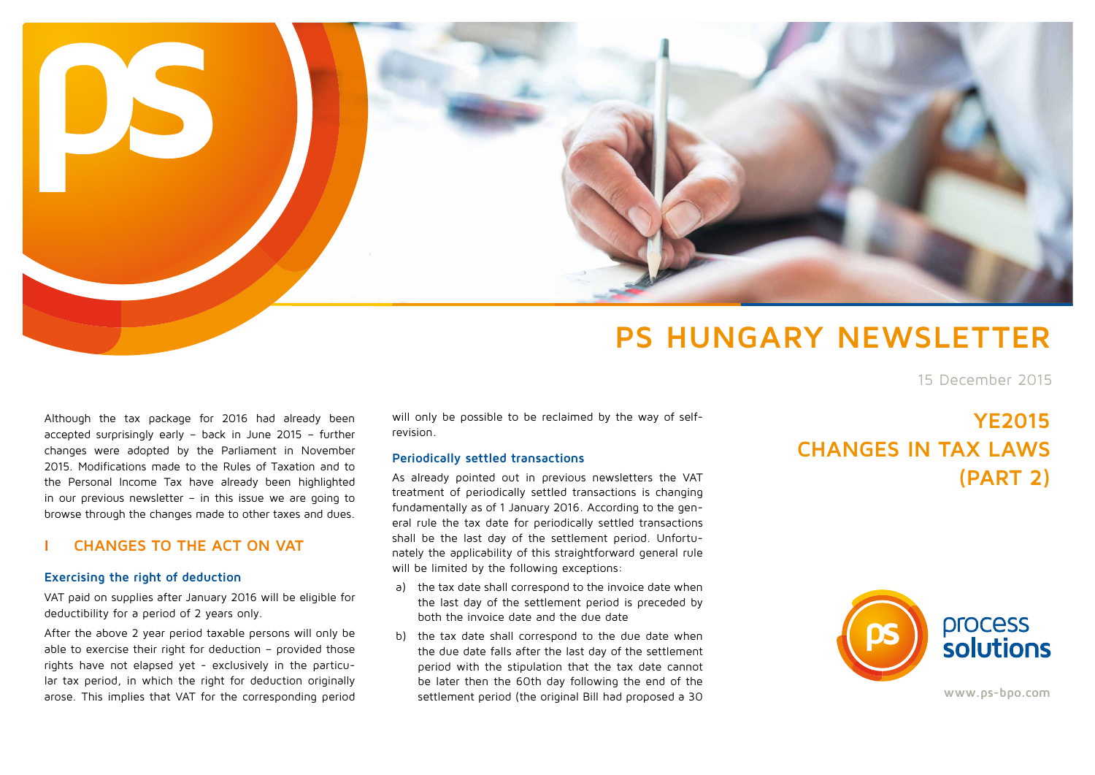

# **PS HUNGARY NEWSLETTER**

15 December 2015

Although the tax package for 2016 had already been accepted surprisingly early – back in June 2015 – further changes were adopted by the Parliament in November 2015. Modifications made to the Rules of Taxation and to the Personal Income Tax have already been highlighted in our previous newsletter – in this issue we are going to browse through the changes made to other taxes and dues.

## **I CHANGES TO THE ACT ON VAT**

#### **Exercising the right of deduction**

VAT paid on supplies after January 2016 will be eligible for deductibility for a period of 2 years only.

After the above 2 year period taxable persons will only be able to exercise their right for deduction - provided those rights have not elapsed yet - exclusively in the particular tax period, in which the right for deduction originally arose. This implies that VAT for the corresponding period

will only be possible to be reclaimed by the way of selfrevision.

#### **Periodically settled transactions**

As already pointed out in previous newsletters the VAT treatment of periodically settled transactions is changing fundamentally as of 1 January 2016. According to the general rule the tax date for periodically settled transactions shall be the last day of the settlement period. Unfortunately the applicability of this straightforward general rule will be limited by the following exceptions:

- a) the tax date shall correspond to the invoice date when the last day of the settlement period is preceded by both the invoice date and the due date
- b) the tax date shall correspond to the due date when the due date falls after the last day of the settlement period with the stipulation that the tax date cannot be later then the 60th day following the end of the settlement period (the original Bill had proposed a 30

## **YE2015 CHANGES IN TAX LAWS (PART 2)**



**www.ps-bpo.com**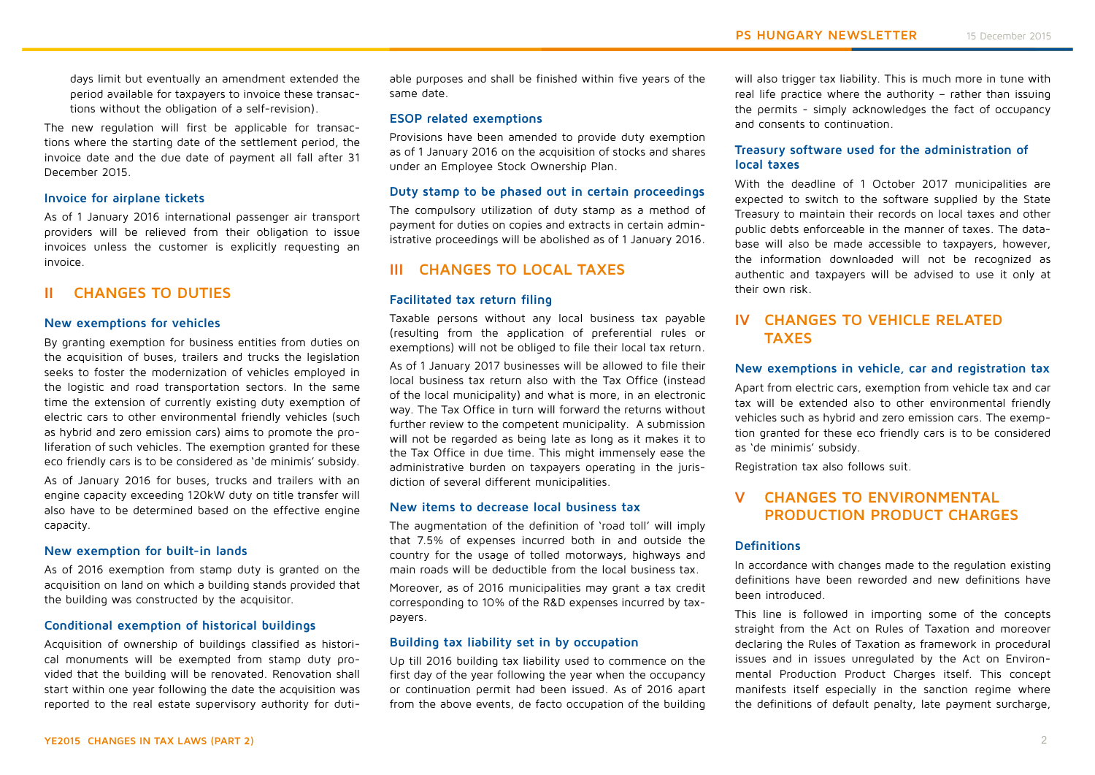days limit but eventually an amendment extended the period available for taxpayers to invoice these transactions without the obligation of a self-revision).

The new regulation will first be applicable for transactions where the starting date of the settlement period, the invoice date and the due date of payment all fall after 31 December 2015.

#### **Invoice for airplane tickets**

As of 1 January 2016 international passenger air transport providers will be relieved from their obligation to issue invoices unless the customer is explicitly requesting an invoice.

## **II CHANGES TO DUTIES**

#### **New exemptions for vehicles**

By granting exemption for business entities from duties on the acquisition of buses, trailers and trucks the legislation seeks to foster the modernization of vehicles employed in the logistic and road transportation sectors. In the same time the extension of currently existing duty exemption of electric cars to other environmental friendly vehicles (such as hybrid and zero emission cars) aims to promote the proliferation of such vehicles. The exemption granted for these eco friendly cars is to be considered as 'de minimis' subsidy.

As of January 2016 for buses, trucks and trailers with an engine capacity exceeding 120kW duty on title transfer will also have to be determined based on the effective engine capacity.

#### **New exemption for built-in lands**

As of 2016 exemption from stamp duty is granted on the acquisition on land on which a building stands provided that the building was constructed by the acquisitor.

#### **Conditional exemption of historical buildings**

Acquisition of ownership of buildings classified as historical monuments will be exempted from stamp duty provided that the building will be renovated. Renovation shall start within one year following the date the acquisition was reported to the real estate supervisory authority for duti-

able purposes and shall be finished within five years of the same date.

#### **ESOP related exemptions**

Provisions have been amended to provide duty exemption as of 1 January 2016 on the acquisition of stocks and shares under an Employee Stock Ownership Plan.

#### **Duty stamp to be phased out in certain proceedings**

The compulsory utilization of duty stamp as a method of payment for duties on copies and extracts in certain administrative proceedings will be abolished as of 1 January 2016.

## **III CHANGES TO LOCAL TAXES**

#### **Facilitated tax return filing**

Taxable persons without any local business tax payable (resulting from the application of preferential rules or exemptions) will not be obliged to file their local tax return.

As of 1 January 2017 businesses will be allowed to file their local business tax return also with the Tax Office (instead of the local municipality) and what is more, in an electronic way. The Tax Office in turn will forward the returns without further review to the competent municipality. A submission will not be regarded as being late as long as it makes it to the Tax Office in due time. This might immensely ease the administrative burden on taxpayers operating in the jurisdiction of several different municipalities.

#### **New items to decrease local business tax**

The augmentation of the definition of 'road toll' will imply that 7.5% of expenses incurred both in and outside the country for the usage of tolled motorways, highways and main roads will be deductible from the local business tax.

Moreover, as of 2016 municipalities may grant a tax credit corresponding to 10% of the R&D expenses incurred by taxpayers.

#### **Building tax liability set in by occupation**

Up till 2016 building tax liability used to commence on the first day of the year following the year when the occupancy or continuation permit had been issued. As of 2016 apart from the above events, de facto occupation of the building

will also trigger tax liability. This is much more in tune with real life practice where the authority – rather than issuing the permits - simply acknowledges the fact of occupancy and consents to continuation.

## **Treasury software used for the administration of local taxes**

With the deadline of 1 October 2017 municipalities are expected to switch to the software supplied by the State Treasury to maintain their records on local taxes and other public debts enforceable in the manner of taxes. The database will also be made accessible to taxpayers, however, the information downloaded will not be recognized as authentic and taxpayers will be advised to use it only at their own risk.

## **IV CHANGES TO VEHICLE RELATED TAXES**

#### **New exemptions in vehicle, car and registration tax**

Apart from electric cars, exemption from vehicle tax and car tax will be extended also to other environmental friendly vehicles such as hybrid and zero emission cars. The exemption granted for these eco friendly cars is to be considered as 'de minimis' subsidy.

Registration tax also follows suit.

## **V CHANGES TO ENVIRONMENTAL PRODUCTION PRODUCT CHARGES**

#### **Definitions**

In accordance with changes made to the regulation existing definitions have been reworded and new definitions have been introduced.

This line is followed in importing some of the concepts straight from the Act on Rules of Taxation and moreover declaring the Rules of Taxation as framework in procedural issues and in issues unregulated by the Act on Environmental Production Product Charges itself. This concept manifests itself especially in the sanction regime where the definitions of default penalty, late payment surcharge,